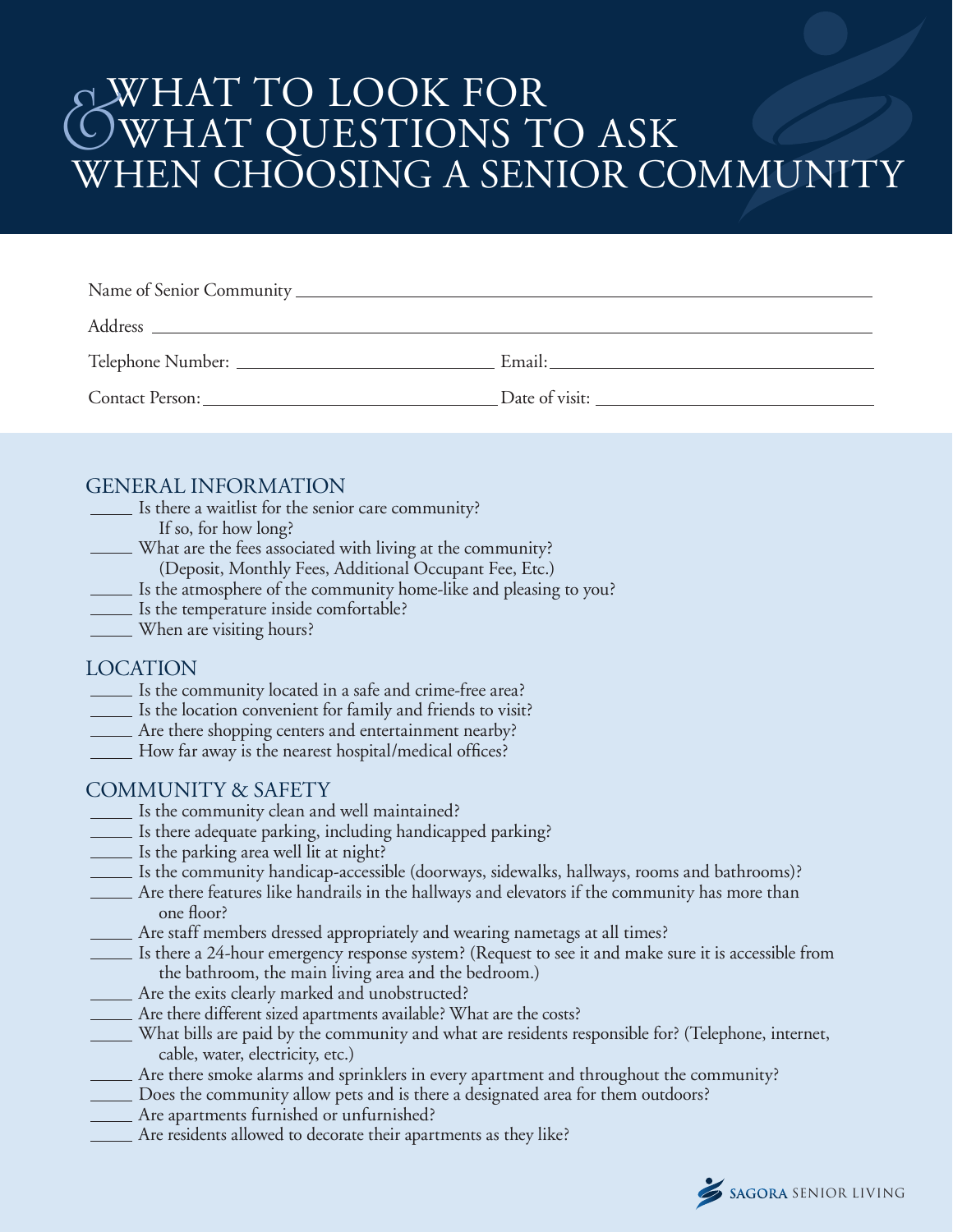# WHAT TO LOOK FOR WHAT QUESTIONS TO ASK WHEN CHOOSING A SENIOR COMMUNITY  $\bigodot$

| Name of Senior Community |                |
|--------------------------|----------------|
|                          |                |
| Telephone Number:        | Email: Email:  |
| Contact Person:          | Date of visit: |

#### GENERAL INFORMATION

- Is there a waitlist for the senior care community?
	- If so, for how long?
- What are the fees associated with living at the community?
	- (Deposit, Monthly Fees, Additional Occupant Fee, Etc.)
- Is the atmosphere of the community home-like and pleasing to you?
- Is the temperature inside comfortable?
- When are visiting hours?

#### LOCATION

- Is the community located in a safe and crime-free area?
- Is the location convenient for family and friends to visit?
- Are there shopping centers and entertainment nearby?
- How far away is the nearest hospital/medical offices?

#### COMMUNITY & SAFETY

- Is the community clean and well maintained?
- Is there adequate parking, including handicapped parking?
- Is the parking area well lit at night?
- Is the community handicap-accessible (doorways, sidewalks, hallways, rooms and bathrooms)?
- Are there features like handrails in the hallways and elevators if the community has more than one floor?
- Are staff members dressed appropriately and wearing nametags at all times?
- Is there a 24-hour emergency response system? (Request to see it and make sure it is accessible from the bathroom, the main living area and the bedroom.)
- Are the exits clearly marked and unobstructed?
- Are there different sized apartments available? What are the costs?
- What bills are paid by the community and what are residents responsible for? (Telephone, internet, cable, water, electricity, etc.)
- Are there smoke alarms and sprinklers in every apartment and throughout the community?
- Does the community allow pets and is there a designated area for them outdoors?
- Are apartments furnished or unfurnished?
- Are residents allowed to decorate their apartments as they like?